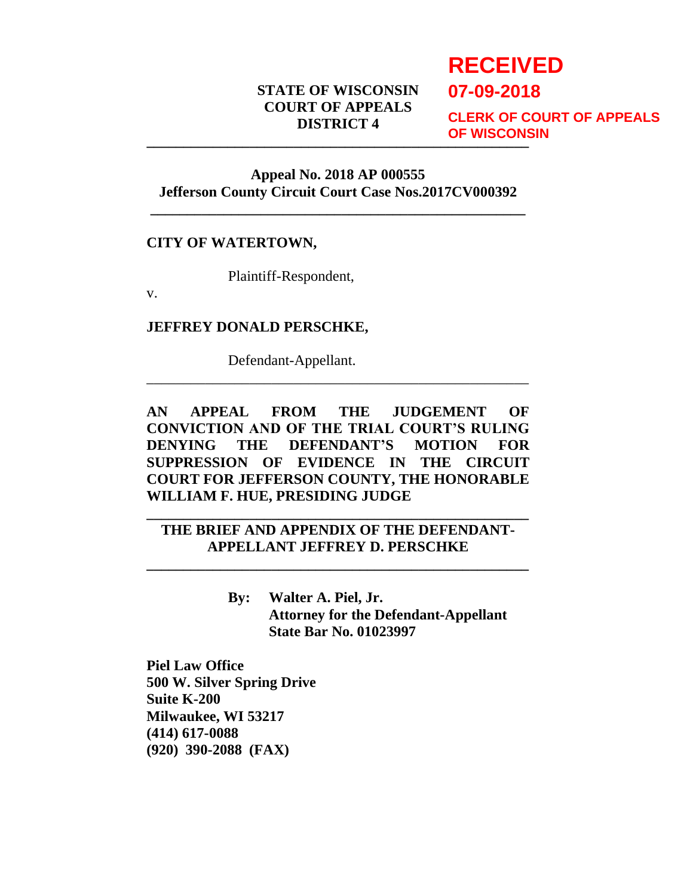# **STATE OF WISCONSIN COURT OF APPEALS DISTRICT 4**

# **RECEIVED**

**07-09-2018**

**\_\_\_\_\_\_\_\_\_\_\_\_\_\_\_\_\_\_\_\_\_\_\_\_\_\_\_\_\_\_\_\_\_\_\_\_\_\_\_\_\_\_\_\_\_\_\_\_\_\_\_\_ CLERK OF COURT OF APPEALS OF WISCONSIN**

### **Appeal No. 2018 AP 000555 Jefferson County Circuit Court Case Nos.2017CV000392**

**\_\_\_\_\_\_\_\_\_\_\_\_\_\_\_\_\_\_\_\_\_\_\_\_\_\_\_\_\_\_\_\_\_\_\_\_\_\_\_\_\_\_\_\_\_\_\_\_\_\_\_**

## **CITY OF WATERTOWN,**

Plaintiff-Respondent,

v.

#### **JEFFREY DONALD PERSCHKE,**

Defendant-Appellant.

**AN APPEAL FROM THE JUDGEMENT OF CONVICTION AND OF THE TRIAL COURT'S RULING DENYING THE DEFENDANT'S MOTION FOR SUPPRESSION OF EVIDENCE IN THE CIRCUIT COURT FOR JEFFERSON COUNTY, THE HONORABLE WILLIAM F. HUE, PRESIDING JUDGE**

\_\_\_\_\_\_\_\_\_\_\_\_\_\_\_\_\_\_\_\_\_\_\_\_\_\_\_\_\_\_\_\_\_\_\_\_\_\_\_\_\_\_\_\_\_\_\_\_\_\_\_\_

**THE BRIEF AND APPENDIX OF THE DEFENDANT-APPELLANT JEFFREY D. PERSCHKE**

**\_\_\_\_\_\_\_\_\_\_\_\_\_\_\_\_\_\_\_\_\_\_\_\_\_\_\_\_\_\_\_\_\_\_\_\_\_\_\_\_\_\_\_\_\_\_\_\_\_\_\_\_**

**\_\_\_\_\_\_\_\_\_\_\_\_\_\_\_\_\_\_\_\_\_\_\_\_\_\_\_\_\_\_\_\_\_\_\_\_\_\_\_\_\_\_\_\_\_\_\_\_\_\_\_\_**

**By: Walter A. Piel, Jr. Attorney for the Defendant-Appellant State Bar No. 01023997**

**Piel Law Office 500 W. Silver Spring Drive Suite K-200 Milwaukee, WI 53217 (414) 617-0088 (920) 390-2088 (FAX)**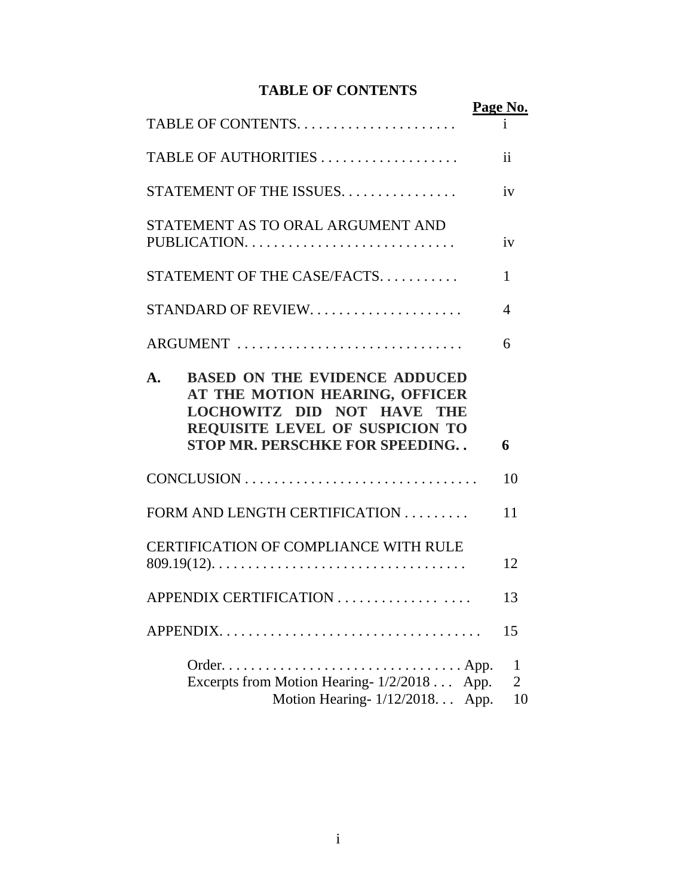# **TABLE OF CONTENTS**

|                                                                                                                                                                                                                          | Page No.                                  |
|--------------------------------------------------------------------------------------------------------------------------------------------------------------------------------------------------------------------------|-------------------------------------------|
|                                                                                                                                                                                                                          |                                           |
| TABLE OF AUTHORITIES                                                                                                                                                                                                     | $\mathbf{ii}$                             |
| STATEMENT OF THE ISSUES                                                                                                                                                                                                  | iv                                        |
| STATEMENT AS TO ORAL ARGUMENT AND<br>PUBLICATION                                                                                                                                                                         | iv                                        |
| STATEMENT OF THE CASE/FACTS.                                                                                                                                                                                             | 1                                         |
| STANDARD OF REVIEW.                                                                                                                                                                                                      | 4                                         |
| ARGUMENT                                                                                                                                                                                                                 | 6                                         |
| <b>BASED ON THE EVIDENCE ADDUCED</b><br>$\mathbf{A}_{\bullet}$<br>AT THE MOTION HEARING, OFFICER<br><b>LOCHOWITZ DID NOT HAVE THE</b><br><b>REQUISITE LEVEL OF SUSPICION TO</b><br><b>STOP MR. PERSCHKE FOR SPEEDING</b> | 6                                         |
|                                                                                                                                                                                                                          | 10                                        |
| FORM AND LENGTH CERTIFICATION                                                                                                                                                                                            | 11                                        |
| <b>CERTIFICATION OF COMPLIANCE WITH RULE</b>                                                                                                                                                                             | 12                                        |
| APPENDIX CERTIFICATION                                                                                                                                                                                                   | 13                                        |
| $APPENDIX$                                                                                                                                                                                                               | 15                                        |
| Excerpts from Motion Hearing-1/2/2018<br>Motion Hearing-1/12/2018                                                                                                                                                        | 1<br>$\overline{2}$<br>App.<br>App.<br>10 |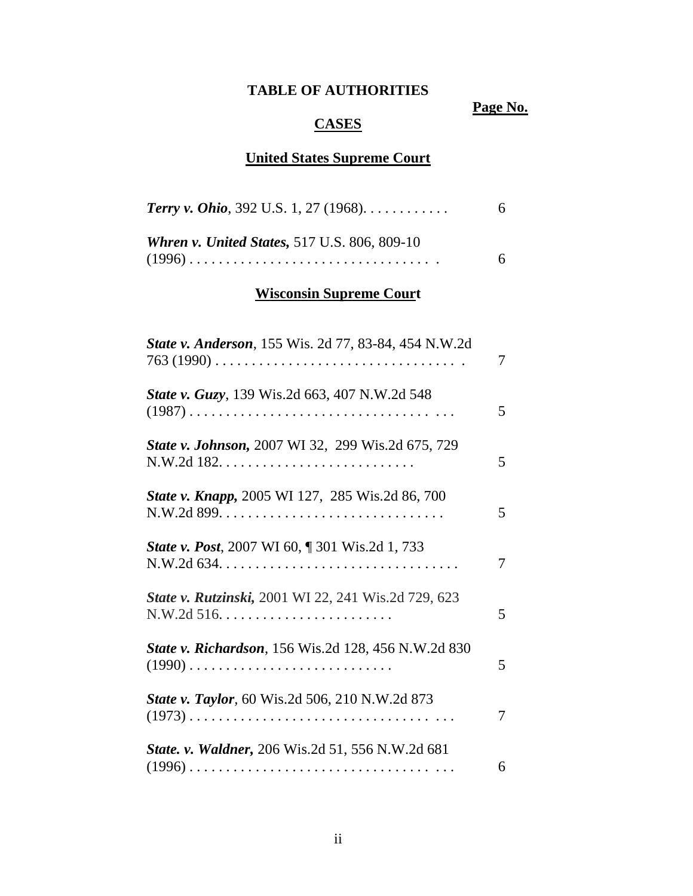# **TABLE OF AUTHORITIES**

**Page No.**

# **CASES**

# **United States Supreme Court**

| <b>Terry v. Ohio</b> , 392 U.S. 1, 27 (1968). $\dots$ . | 6. |
|---------------------------------------------------------|----|
| <b>Whren v. United States, 517 U.S. 806, 809-10</b>     |    |
|                                                         |    |

# **Wisconsin Supreme Court**

| State v. Anderson, 155 Wis. 2d 77, 83-84, 454 N.W.2d                    | 7 |
|-------------------------------------------------------------------------|---|
| State v. Guzy, 139 Wis.2d 663, 407 N.W.2d 548                           | 5 |
| State v. Johnson, 2007 WI 32, 299 Wis.2d 675, 729                       | 5 |
| State v. Knapp, 2005 WI 127, 285 Wis.2d 86, 700                         | 5 |
| <b>State v. Post, 2007 WI 60, ¶ 301 Wis.2d 1, 733</b>                   | 7 |
| State v. Rutzinski, 2001 WI 22, 241 Wis.2d 729, 623                     | 5 |
| <b>State v. Richardson</b> , 156 Wis.2d 128, 456 N.W.2d 830<br>$(1990)$ | 5 |
| <b>State v. Taylor</b> , 60 Wis.2d 506, 210 N.W.2d 873                  | 7 |
| <b>State. v. Waldner, 206 Wis.2d 51, 556 N.W.2d 681</b>                 | 6 |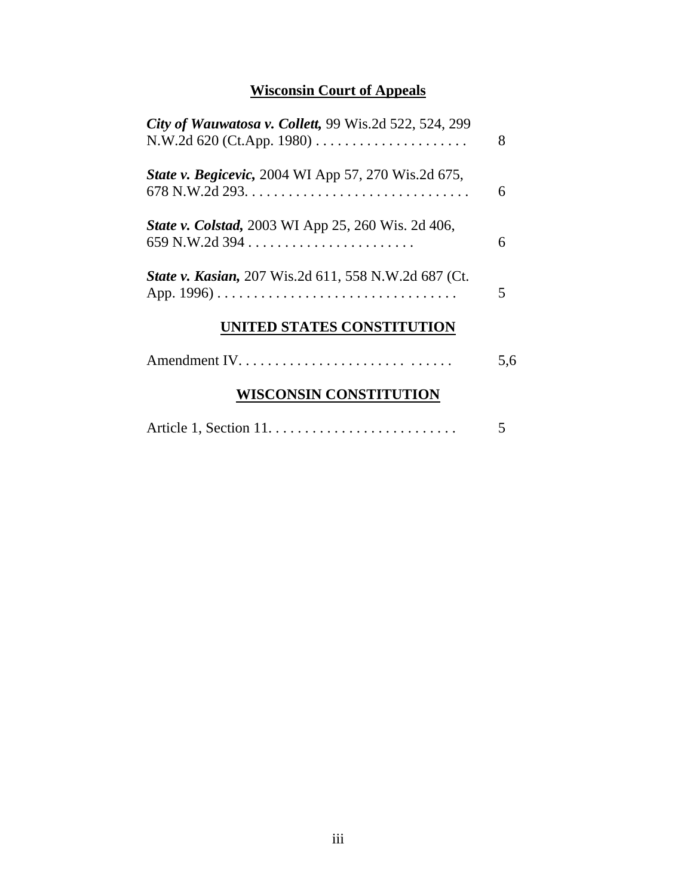# **Wisconsin Court of Appeals**

| City of Wauwatosa v. Collett, 99 Wis.2d 522, 524, 299       | 8   |
|-------------------------------------------------------------|-----|
| State v. Begicevic, 2004 WI App 57, 270 Wis.2d 675,         | 6   |
| <b>State v. Colstad, 2003 WI App 25, 260 Wis. 2d 406,</b>   | 6   |
| <b>State v. Kasian, 207 Wis.2d 611, 558 N.W.2d 687 (Ct.</b> | 5   |
| UNITED STATES CONSTITUTION                                  |     |
|                                                             | 5,6 |
| <b>WISCONSIN CONSTITUTION</b>                               |     |
|                                                             |     |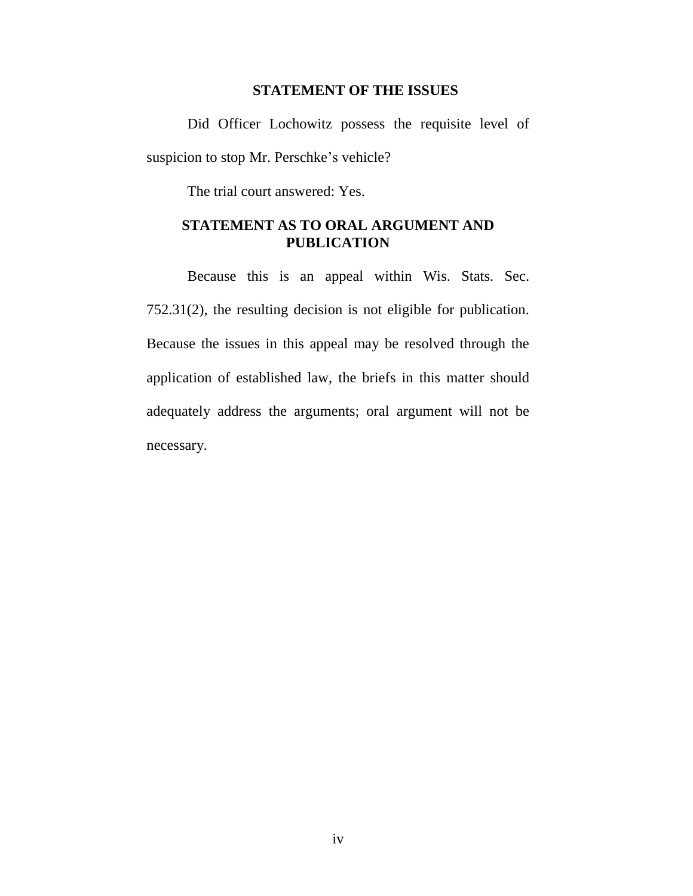#### **STATEMENT OF THE ISSUES**

Did Officer Lochowitz possess the requisite level of suspicion to stop Mr. Perschke's vehicle?

The trial court answered: Yes.

## **STATEMENT AS TO ORAL ARGUMENT AND PUBLICATION**

Because this is an appeal within Wis. Stats. Sec. 752.31(2), the resulting decision is not eligible for publication. Because the issues in this appeal may be resolved through the application of established law, the briefs in this matter should adequately address the arguments; oral argument will not be necessary.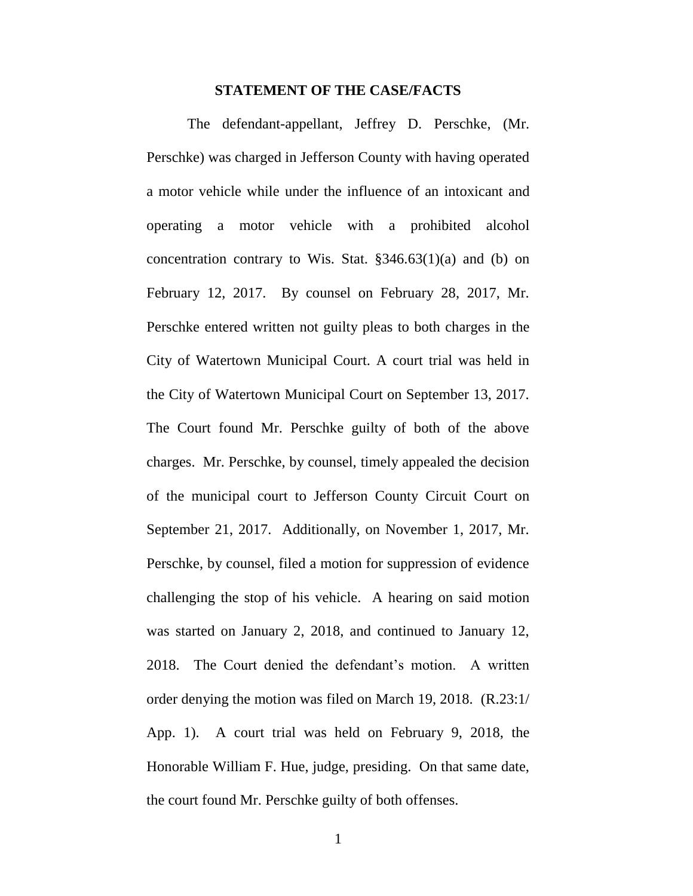#### **STATEMENT OF THE CASE/FACTS**

The defendant-appellant, Jeffrey D. Perschke, (Mr. Perschke) was charged in Jefferson County with having operated a motor vehicle while under the influence of an intoxicant and operating a motor vehicle with a prohibited alcohol concentration contrary to Wis. Stat. §346.63(1)(a) and (b) on February 12, 2017. By counsel on February 28, 2017, Mr. Perschke entered written not guilty pleas to both charges in the City of Watertown Municipal Court. A court trial was held in the City of Watertown Municipal Court on September 13, 2017. The Court found Mr. Perschke guilty of both of the above charges. Mr. Perschke, by counsel, timely appealed the decision of the municipal court to Jefferson County Circuit Court on September 21, 2017. Additionally, on November 1, 2017, Mr. Perschke, by counsel, filed a motion for suppression of evidence challenging the stop of his vehicle. A hearing on said motion was started on January 2, 2018, and continued to January 12, 2018. The Court denied the defendant's motion. A written order denying the motion was filed on March 19, 2018. (R.23:1/ App. 1). A court trial was held on February 9, 2018, the Honorable William F. Hue, judge, presiding. On that same date, the court found Mr. Perschke guilty of both offenses.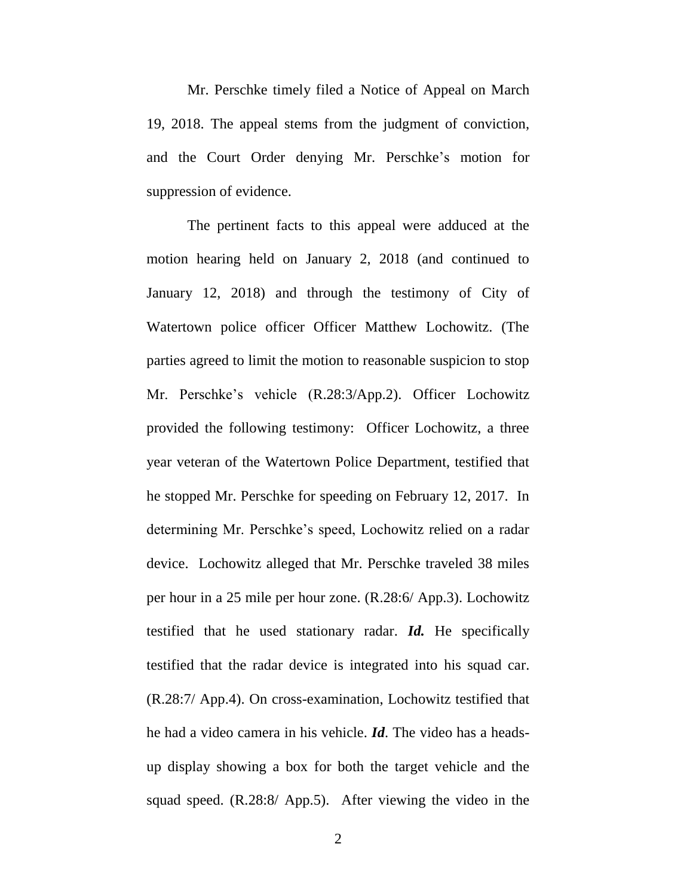Mr. Perschke timely filed a Notice of Appeal on March 19, 2018. The appeal stems from the judgment of conviction, and the Court Order denying Mr. Perschke's motion for suppression of evidence.

The pertinent facts to this appeal were adduced at the motion hearing held on January 2, 2018 (and continued to January 12, 2018) and through the testimony of City of Watertown police officer Officer Matthew Lochowitz. (The parties agreed to limit the motion to reasonable suspicion to stop Mr. Perschke's vehicle (R.28:3/App.2). Officer Lochowitz provided the following testimony: Officer Lochowitz, a three year veteran of the Watertown Police Department, testified that he stopped Mr. Perschke for speeding on February 12, 2017. In determining Mr. Perschke's speed, Lochowitz relied on a radar device. Lochowitz alleged that Mr. Perschke traveled 38 miles per hour in a 25 mile per hour zone. (R.28:6/ App.3). Lochowitz testified that he used stationary radar. *Id.* He specifically testified that the radar device is integrated into his squad car. (R.28:7/ App.4). On cross-examination, Lochowitz testified that he had a video camera in his vehicle. *Id*. The video has a headsup display showing a box for both the target vehicle and the squad speed. (R.28:8/ App.5). After viewing the video in the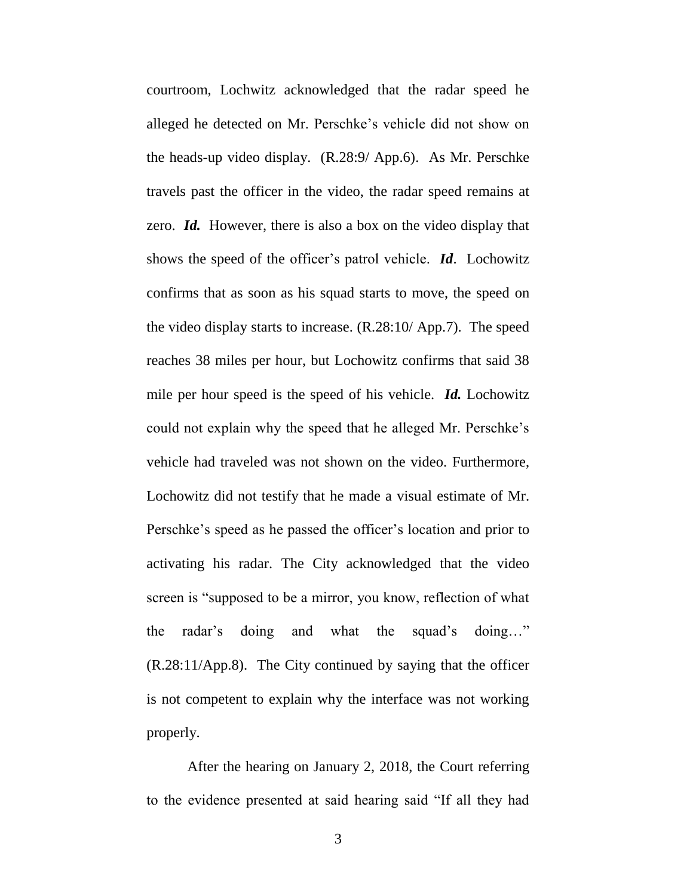courtroom, Lochwitz acknowledged that the radar speed he alleged he detected on Mr. Perschke's vehicle did not show on the heads-up video display. (R.28:9/ App.6). As Mr. Perschke travels past the officer in the video, the radar speed remains at zero. *Id.* However, there is also a box on the video display that shows the speed of the officer's patrol vehicle. *Id*. Lochowitz confirms that as soon as his squad starts to move, the speed on the video display starts to increase. (R.28:10/ App.7). The speed reaches 38 miles per hour, but Lochowitz confirms that said 38 mile per hour speed is the speed of his vehicle. *Id.* Lochowitz could not explain why the speed that he alleged Mr. Perschke's vehicle had traveled was not shown on the video. Furthermore, Lochowitz did not testify that he made a visual estimate of Mr. Perschke's speed as he passed the officer's location and prior to activating his radar. The City acknowledged that the video screen is "supposed to be a mirror, you know, reflection of what the radar's doing and what the squad's doing…" (R.28:11/App.8). The City continued by saying that the officer is not competent to explain why the interface was not working properly.

After the hearing on January 2, 2018, the Court referring to the evidence presented at said hearing said "If all they had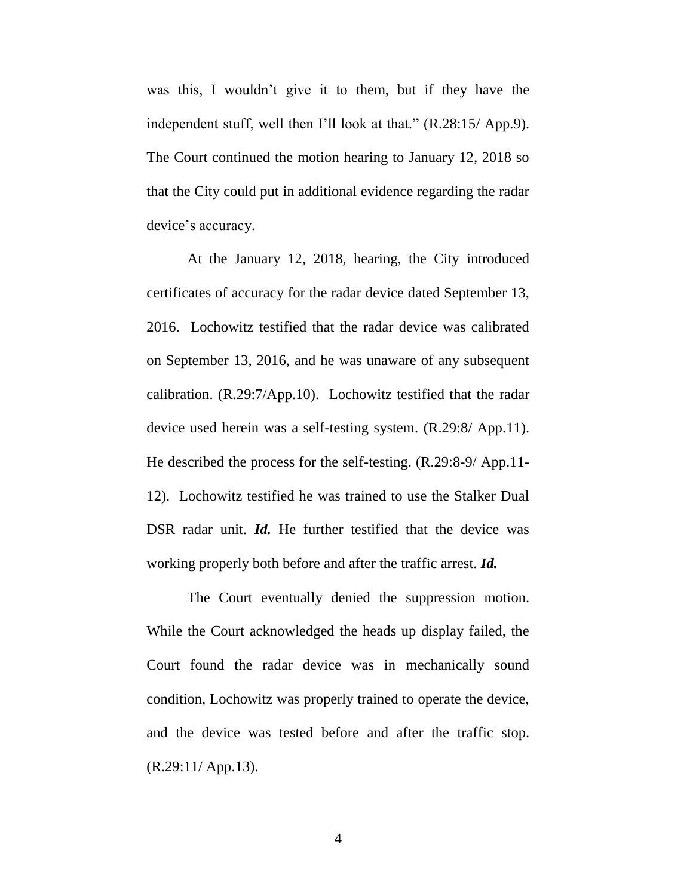was this, I wouldn't give it to them, but if they have the independent stuff, well then I'll look at that." (R.28:15/ App.9). The Court continued the motion hearing to January 12, 2018 so that the City could put in additional evidence regarding the radar device's accuracy.

At the January 12, 2018, hearing, the City introduced certificates of accuracy for the radar device dated September 13, 2016. Lochowitz testified that the radar device was calibrated on September 13, 2016, and he was unaware of any subsequent calibration. (R.29:7/App.10). Lochowitz testified that the radar device used herein was a self-testing system. (R.29:8/ App.11). He described the process for the self-testing. (R.29:8-9/ App.11- 12). Lochowitz testified he was trained to use the Stalker Dual DSR radar unit. *Id.* He further testified that the device was working properly both before and after the traffic arrest. *Id.* 

The Court eventually denied the suppression motion. While the Court acknowledged the heads up display failed, the Court found the radar device was in mechanically sound condition, Lochowitz was properly trained to operate the device, and the device was tested before and after the traffic stop. (R.29:11/ App.13).

4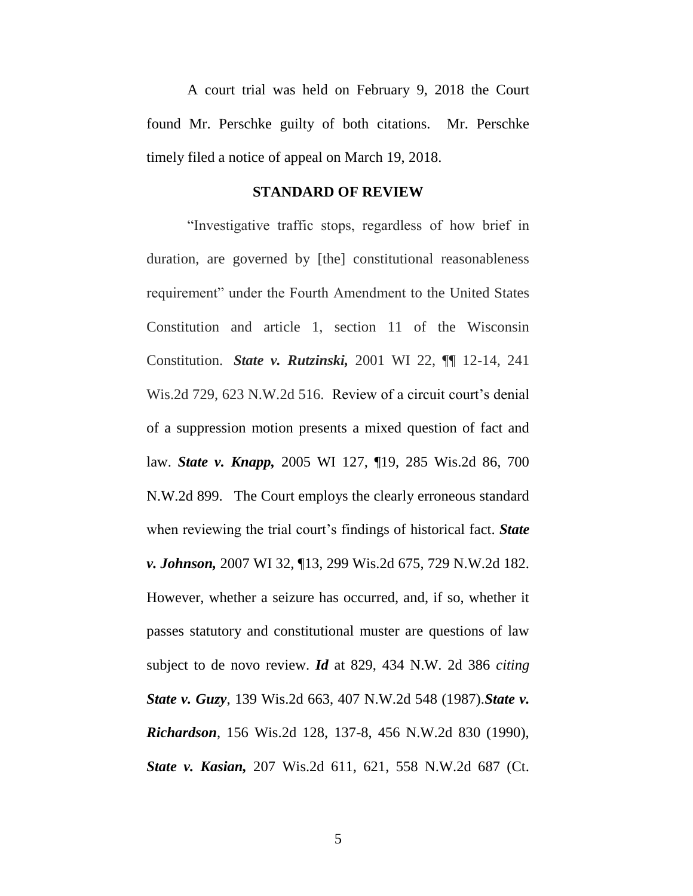A court trial was held on February 9, 2018 the Court found Mr. Perschke guilty of both citations. Mr. Perschke timely filed a notice of appeal on March 19, 2018.

#### **STANDARD OF REVIEW**

"Investigative traffic stops, regardless of how brief in duration, are governed by [the] constitutional reasonableness requirement" under the Fourth Amendment to the United States Constitution and article 1, section 11 of the Wisconsin Constitution. *State v. Rutzinski,* 2001 WI 22, ¶¶ 12-14, 241 Wis.2d 729, 623 N.W.2d 516. Review of a circuit court's denial of a suppression motion presents a mixed question of fact and law. *State v. Knapp,* 2005 WI 127, ¶19, 285 Wis.2d 86, 700 N.W.2d 899. The Court employs the clearly erroneous standard when reviewing the trial court's findings of historical fact. *State v. Johnson,* 2007 WI 32, ¶13, 299 Wis.2d 675, 729 N.W.2d 182. However, whether a seizure has occurred, and, if so, whether it passes statutory and constitutional muster are questions of law subject to de novo review. *Id* at 829, 434 N.W. 2d 386 *citing State v. Guzy*, 139 Wis.2d 663, 407 N.W.2d 548 (1987).*State v. Richardson*, 156 Wis.2d 128, 137-8, 456 N.W.2d 830 (1990), *State v. Kasian,* 207 Wis.2d 611, 621, 558 N.W.2d 687 (Ct.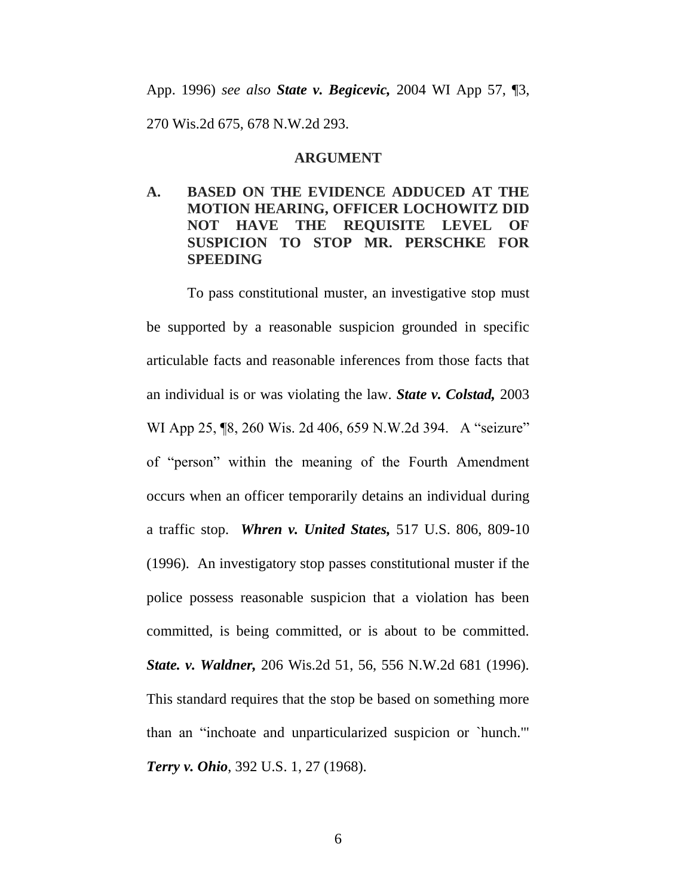# App. 1996) *see also State v. Begicevic,* 2004 WI App 57, ¶3, 270 Wis.2d 675, 678 N.W.2d 293.

#### **ARGUMENT**

## **A. BASED ON THE EVIDENCE ADDUCED AT THE MOTION HEARING, OFFICER LOCHOWITZ DID NOT HAVE THE REQUISITE LEVEL OF SUSPICION TO STOP MR. PERSCHKE FOR SPEEDING**

To pass constitutional muster, an investigative stop must be supported by a reasonable suspicion grounded in specific articulable facts and reasonable inferences from those facts that an individual is or was violating the law. *State v. Colstad,* 2003 WI App 25, **[8, 260 Wis. 2d 406, 659 N.W.2d 394.** A "seizure" of "person" within the meaning of the Fourth Amendment occurs when an officer temporarily detains an individual during a traffic stop. *Whren v. United States,* 517 U.S. 806, 809-10 (1996). An investigatory stop passes constitutional muster if the police possess reasonable suspicion that a violation has been committed, is being committed, or is about to be committed. *State. v. Waldner,* 206 Wis.2d 51, 56, 556 N.W.2d 681 (1996). This standard requires that the stop be based on something more than an "inchoate and unparticularized suspicion or `hunch.'" *Terry v. Ohio*, 392 U.S. 1, 27 (1968).

6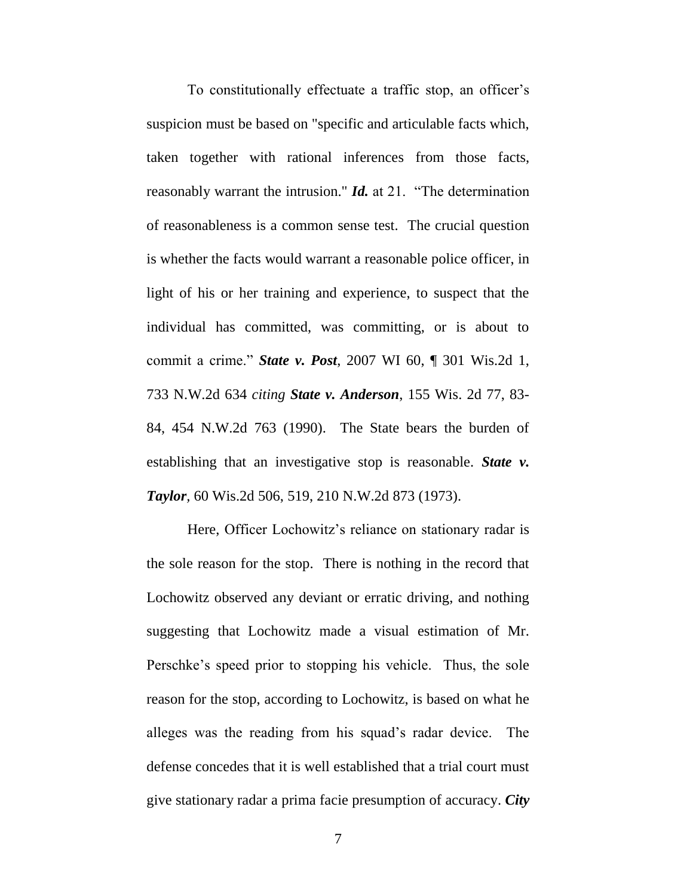To constitutionally effectuate a traffic stop, an officer's suspicion must be based on "specific and articulable facts which, taken together with rational inferences from those facts, reasonably warrant the intrusion." *Id.* at 21. "The determination of reasonableness is a common sense test. The crucial question is whether the facts would warrant a reasonable police officer, in light of his or her training and experience, to suspect that the individual has committed, was committing, or is about to commit a crime." *State v. Post*, 2007 WI 60, ¶ 301 Wis.2d 1, 733 N.W.2d 634 *citing State v. Anderson*, 155 Wis. 2d 77, 83- 84, 454 N.W.2d 763 (1990). The State bears the burden of establishing that an investigative stop is reasonable. *State v. Taylor,* 60 Wis.2d 506, 519, 210 N.W.2d 873 (1973).

Here, Officer Lochowitz's reliance on stationary radar is the sole reason for the stop. There is nothing in the record that Lochowitz observed any deviant or erratic driving, and nothing suggesting that Lochowitz made a visual estimation of Mr. Perschke's speed prior to stopping his vehicle. Thus, the sole reason for the stop, according to Lochowitz, is based on what he alleges was the reading from his squad's radar device. The defense concedes that it is well established that a trial court must give stationary radar a prima facie presumption of accuracy. *City*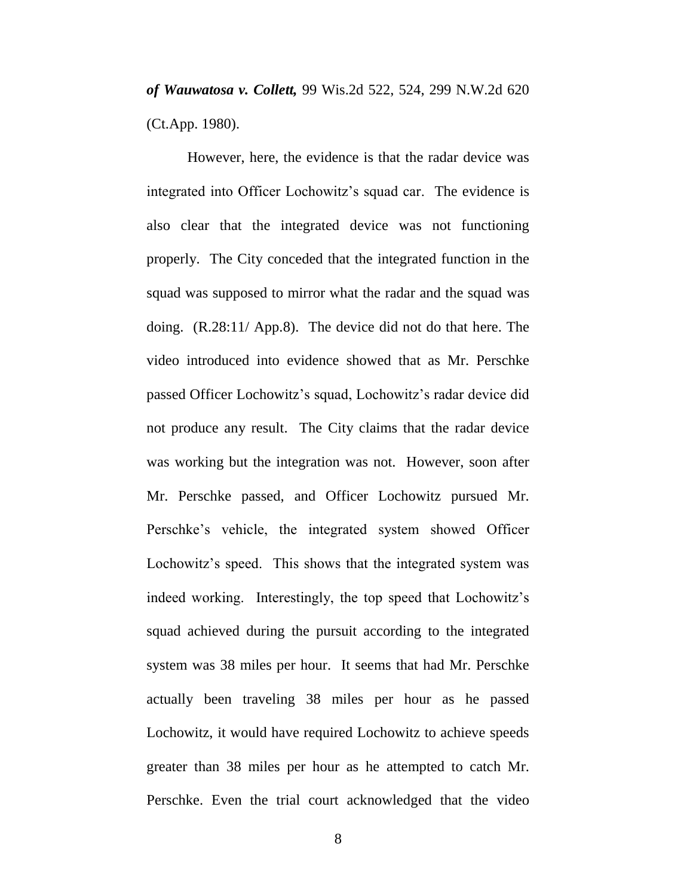*of Wauwatosa v. Collett,* 99 Wis.2d 522, 524, 299 N.W.2d 620 (Ct.App. 1980).

However, here, the evidence is that the radar device was integrated into Officer Lochowitz's squad car. The evidence is also clear that the integrated device was not functioning properly. The City conceded that the integrated function in the squad was supposed to mirror what the radar and the squad was doing. (R.28:11/ App.8). The device did not do that here. The video introduced into evidence showed that as Mr. Perschke passed Officer Lochowitz's squad, Lochowitz's radar device did not produce any result. The City claims that the radar device was working but the integration was not. However, soon after Mr. Perschke passed, and Officer Lochowitz pursued Mr. Perschke's vehicle, the integrated system showed Officer Lochowitz's speed. This shows that the integrated system was indeed working. Interestingly, the top speed that Lochowitz's squad achieved during the pursuit according to the integrated system was 38 miles per hour. It seems that had Mr. Perschke actually been traveling 38 miles per hour as he passed Lochowitz, it would have required Lochowitz to achieve speeds greater than 38 miles per hour as he attempted to catch Mr. Perschke. Even the trial court acknowledged that the video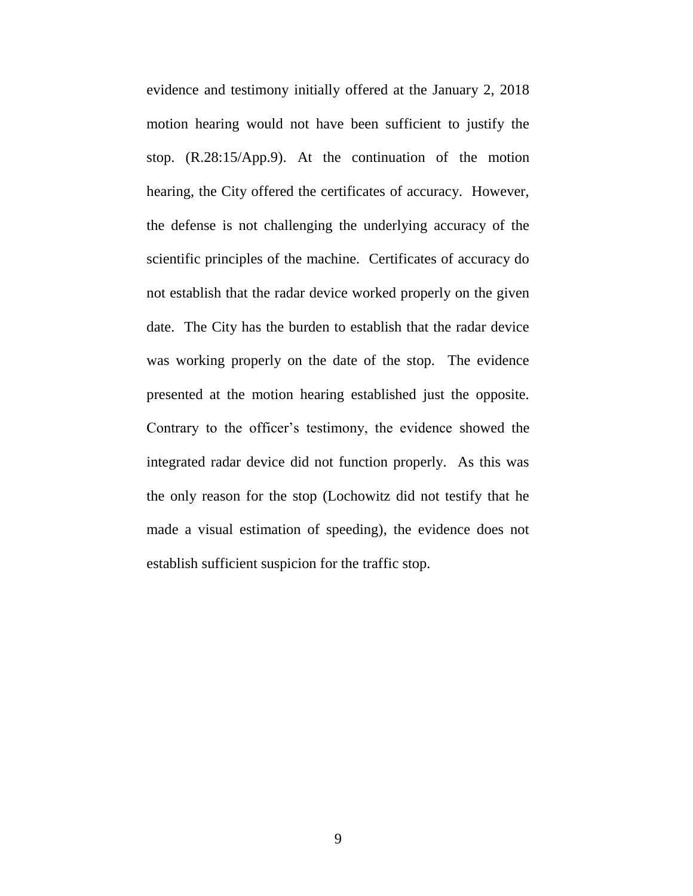evidence and testimony initially offered at the January 2, 2018 motion hearing would not have been sufficient to justify the stop. (R.28:15/App.9). At the continuation of the motion hearing, the City offered the certificates of accuracy. However, the defense is not challenging the underlying accuracy of the scientific principles of the machine. Certificates of accuracy do not establish that the radar device worked properly on the given date. The City has the burden to establish that the radar device was working properly on the date of the stop. The evidence presented at the motion hearing established just the opposite. Contrary to the officer's testimony, the evidence showed the integrated radar device did not function properly. As this was the only reason for the stop (Lochowitz did not testify that he made a visual estimation of speeding), the evidence does not establish sufficient suspicion for the traffic stop.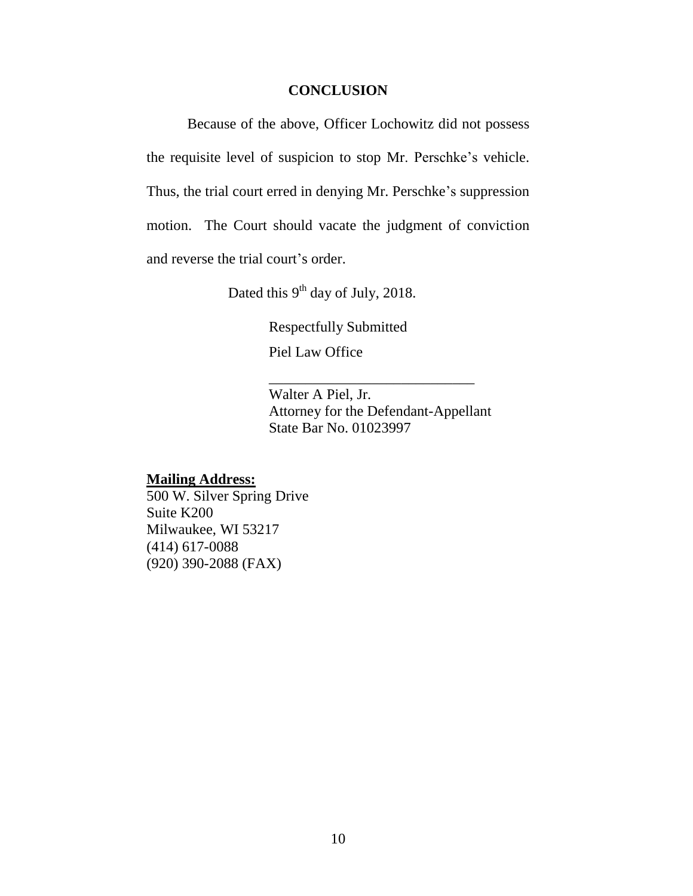#### **CONCLUSION**

Because of the above, Officer Lochowitz did not possess the requisite level of suspicion to stop Mr. Perschke's vehicle. Thus, the trial court erred in denying Mr. Perschke's suppression motion. The Court should vacate the judgment of conviction and reverse the trial court's order.

Dated this  $9^{th}$  day of July, 2018.

Respectfully Submitted

Piel Law Office

Walter A Piel, Jr. Attorney for the Defendant-Appellant State Bar No. 01023997

\_\_\_\_\_\_\_\_\_\_\_\_\_\_\_\_\_\_\_\_\_\_\_\_\_\_\_\_

#### **Mailing Address:**

500 W. Silver Spring Drive Suite K200 Milwaukee, WI 53217 (414) 617-0088 (920) 390-2088 (FAX)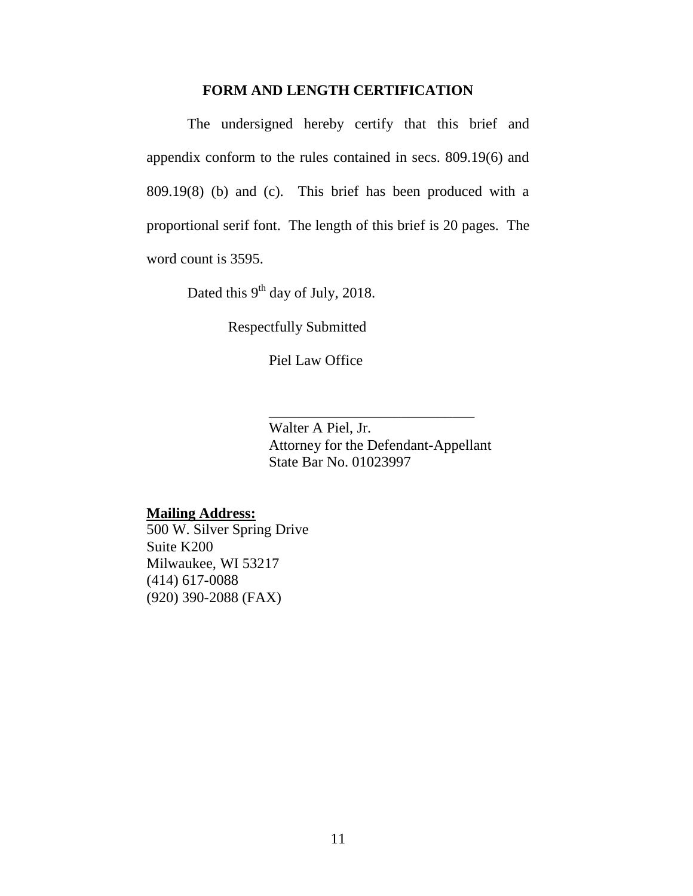#### **FORM AND LENGTH CERTIFICATION**

The undersigned hereby certify that this brief and appendix conform to the rules contained in secs. 809.19(6) and 809.19(8) (b) and (c). This brief has been produced with a proportional serif font. The length of this brief is 20 pages. The word count is 3595.

Dated this  $9^{th}$  day of July, 2018.

Respectfully Submitted

Piel Law Office

Walter A Piel, Jr. Attorney for the Defendant-Appellant State Bar No. 01023997

\_\_\_\_\_\_\_\_\_\_\_\_\_\_\_\_\_\_\_\_\_\_\_\_\_\_\_\_

## **Mailing Address:**

500 W. Silver Spring Drive Suite K200 Milwaukee, WI 53217 (414) 617-0088 (920) 390-2088 (FAX)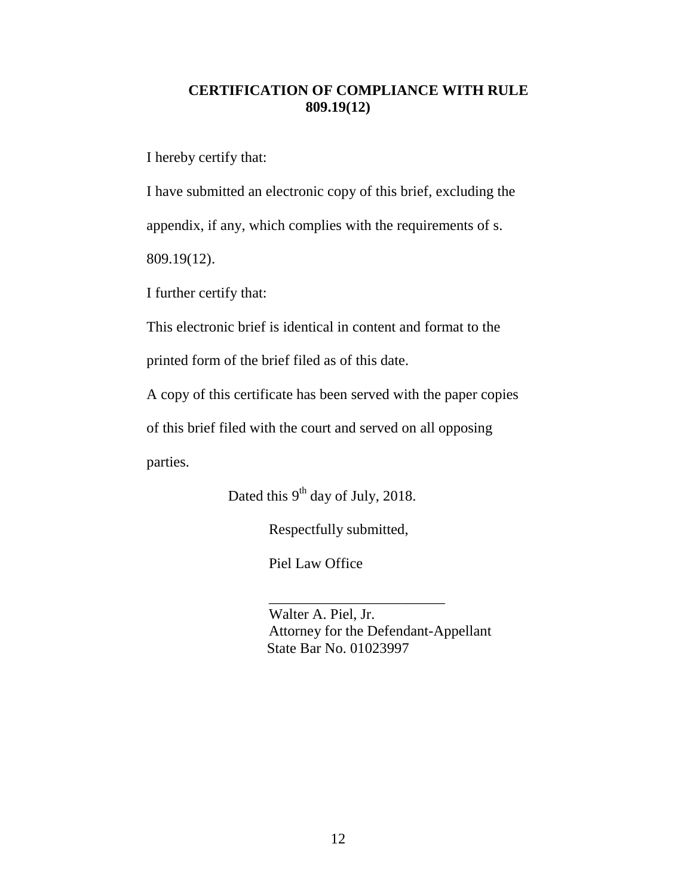## **CERTIFICATION OF COMPLIANCE WITH RULE 809.19(12)**

I hereby certify that:

I have submitted an electronic copy of this brief, excluding the appendix, if any, which complies with the requirements of s. 809.19(12).

I further certify that:

This electronic brief is identical in content and format to the

printed form of the brief filed as of this date.

A copy of this certificate has been served with the paper copies

of this brief filed with the court and served on all opposing

parties.

Dated this  $9<sup>th</sup>$  day of July, 2018.

Respectfully submitted,

Piel Law Office

Walter A. Piel, Jr. Attorney for the Defendant-Appellant State Bar No. 01023997

\_\_\_\_\_\_\_\_\_\_\_\_\_\_\_\_\_\_\_\_\_\_\_\_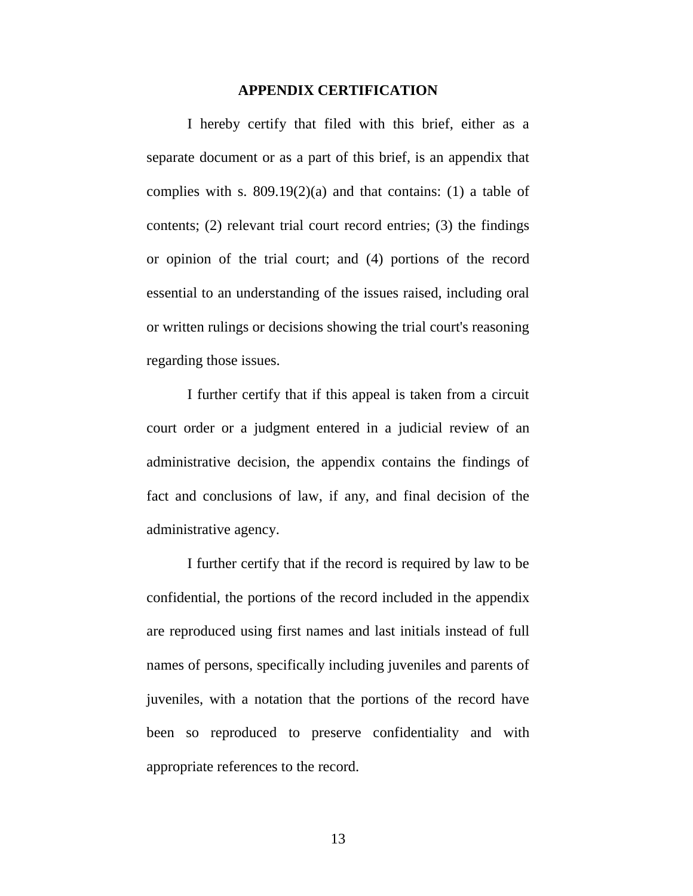#### **APPENDIX CERTIFICATION**

I hereby certify that filed with this brief, either as a separate document or as a part of this brief, is an appendix that complies with s.  $809.19(2)(a)$  and that contains: (1) a table of contents; (2) relevant trial court record entries; (3) the findings or opinion of the trial court; and (4) portions of the record essential to an understanding of the issues raised, including oral or written rulings or decisions showing the trial court's reasoning regarding those issues.

I further certify that if this appeal is taken from a circuit court order or a judgment entered in a judicial review of an administrative decision, the appendix contains the findings of fact and conclusions of law, if any, and final decision of the administrative agency.

I further certify that if the record is required by law to be confidential, the portions of the record included in the appendix are reproduced using first names and last initials instead of full names of persons, specifically including juveniles and parents of juveniles, with a notation that the portions of the record have been so reproduced to preserve confidentiality and with appropriate references to the record.

13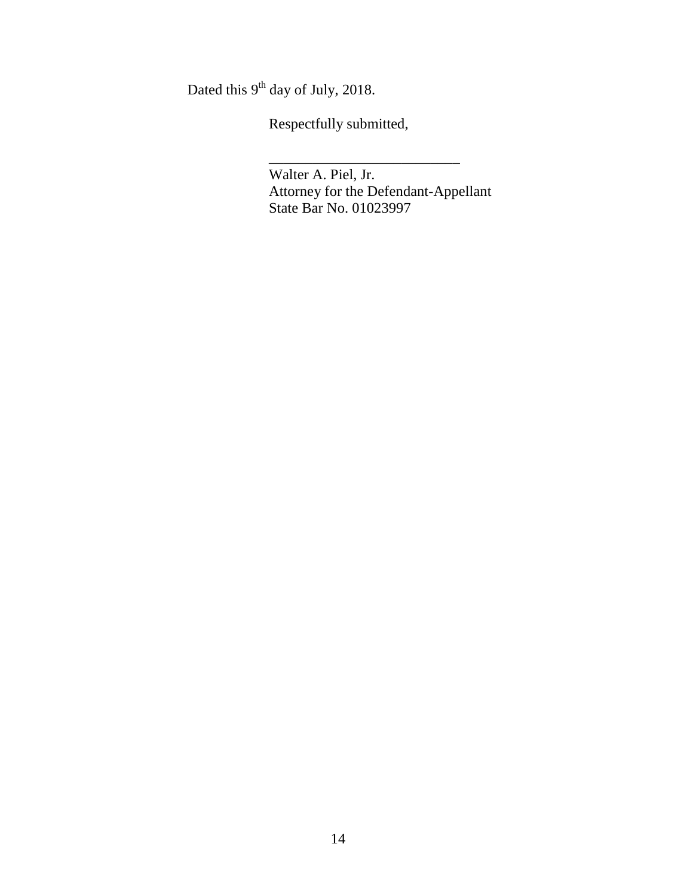Dated this  $9<sup>th</sup>$  day of July, 2018.

Respectfully submitted,

Walter A. Piel, Jr. Attorney for the Defendant-Appellant State Bar No. 01023997

\_\_\_\_\_\_\_\_\_\_\_\_\_\_\_\_\_\_\_\_\_\_\_\_\_\_